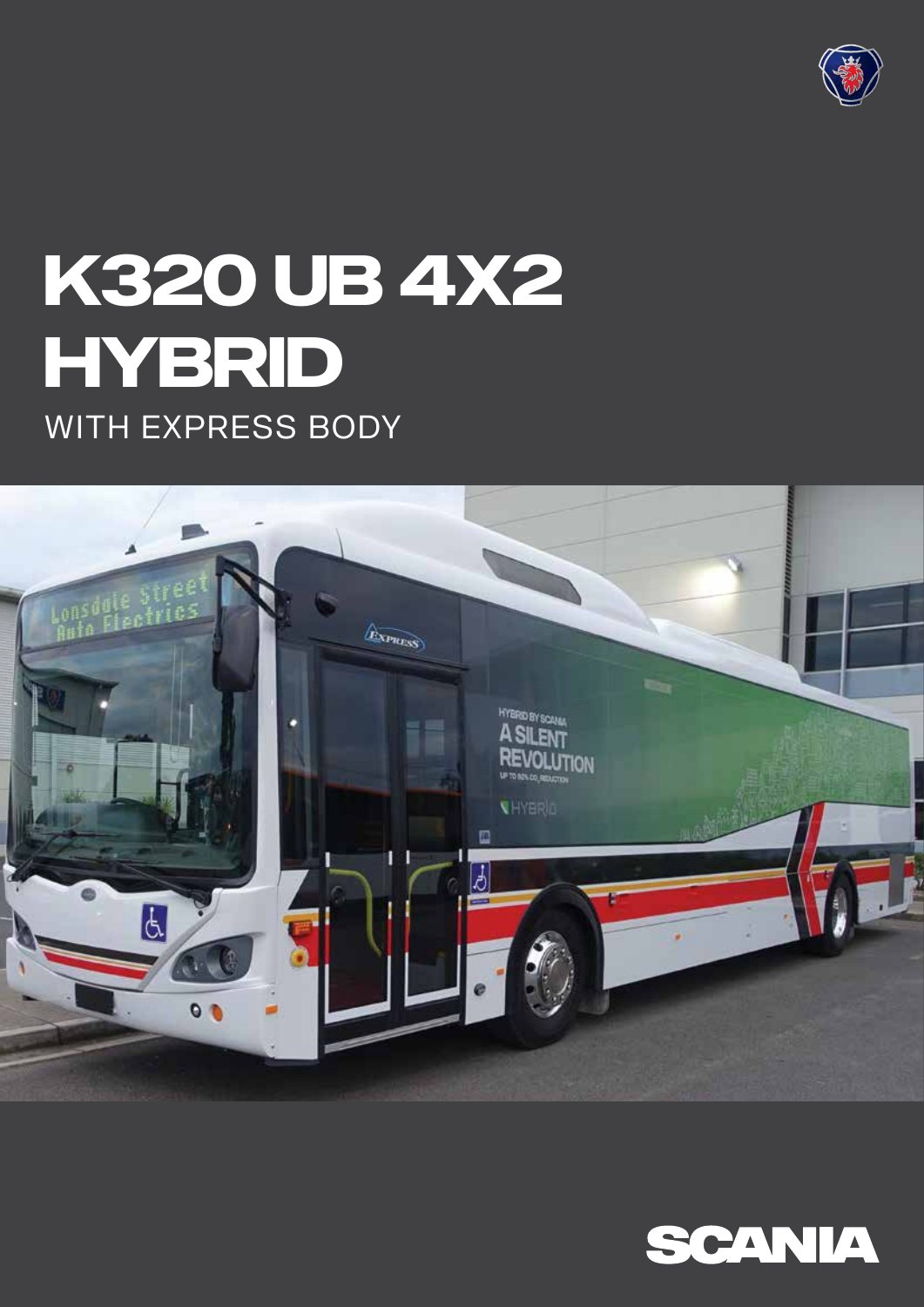

# **K320 UB 4X2 HYBRID** WITH EXPRESS BODY



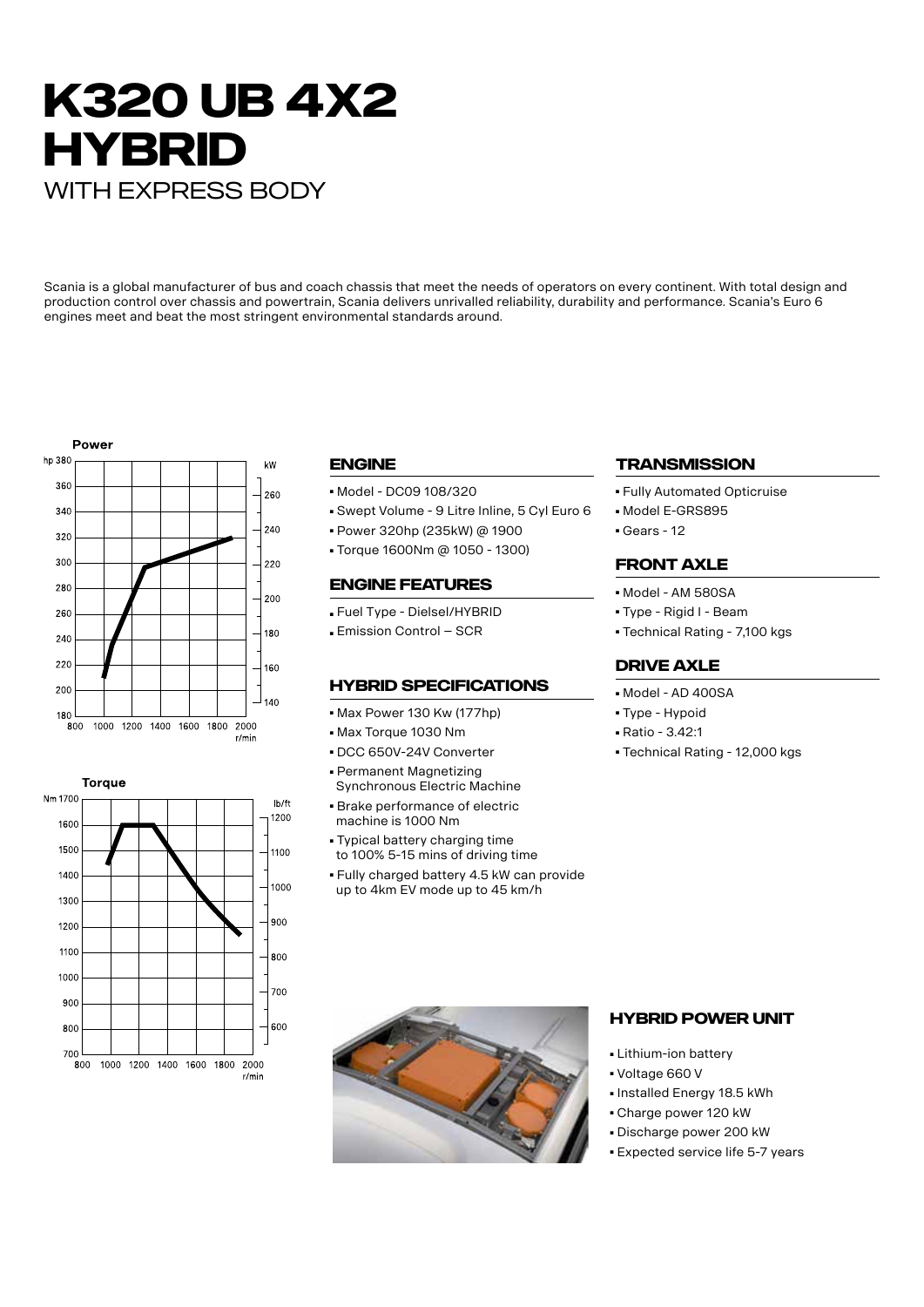# **K320 UB 4X2 HYBRID** WITH EXPRESS BODY

Scania is a global manufacturer of bus and coach chassis that meet the needs of operators on every continent. With total design and production control over chassis and powertrain, Scania delivers unrivalled reliability, durability and performance. Scania's Euro 6 engines meet and beat the most stringent environmental standards around.





### **Engine**

- Model DC09 108/320
- Swept Volume 9 Litre Inline, 5 Cyl Euro 6
- Power 320hp (235kW) @ 1900
- Torque 1600Nm @ 1050 1300)

#### **Engine Features**

- Fuel Type Dielsel/HYBRID
- Emission Control SCR

#### **HYBRID SPECIFICATIONS**

- Max Power 130 Kw (177hp)
- Max Torque 1030 Nm
- DCC 650V-24V Converter ■ Permanent Magnetizing
- Synchronous Electric Machine ■ Brake performance of electric
- machine is 1000 Nm
- Typical battery charging time to 100% 5-15 mins of driving time
- Fully charged battery 4.5 kW can provide up to 4km EV mode up to 45 km/h

# **TRANSMISSION**

- Fully Automated Opticruise
- Model E-GRS895
- Gears 12

#### **Front Axle**

- Model AM 580SA
- Type Rigid I Beam
- Technical Rating 7,100 kgs

#### **DRIVE AXLE**

- Model AD 400SA
- Type Hypoid
- Ratio 3.42:1
- Technical Rating 12,000 kgs



#### **Hybrid power unit**

- Lithium-ion battery
- Voltage 660 V
- Installed Energy 18.5 kWh
- Charge power 120 kW
- Discharge power 200 kW
- Expected service life 5-7 years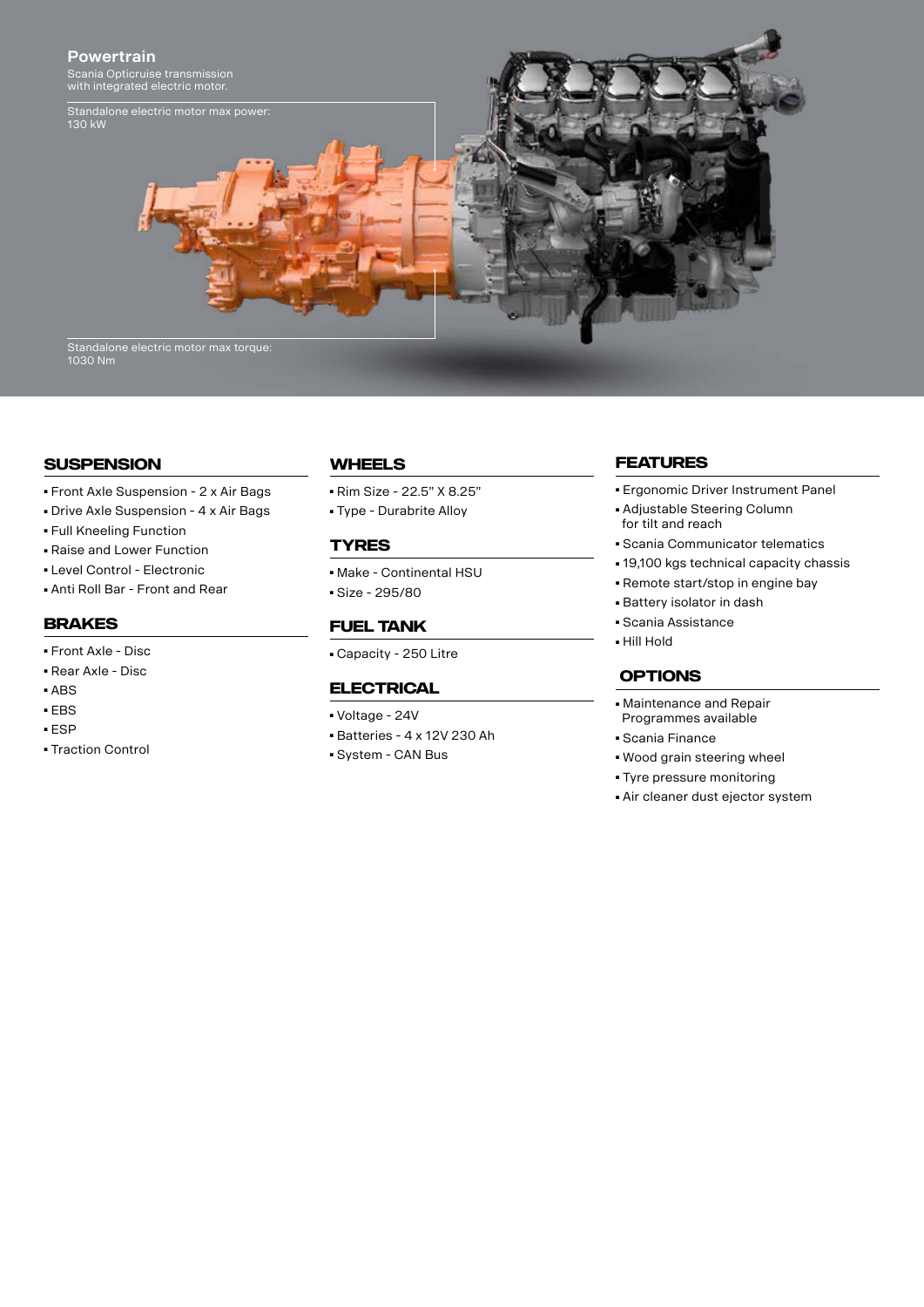

### **Suspension**

- Front Axle Suspension 2 x Air Bags
- Drive Axle Suspension 4 x Air Bags
- Full Kneeling Function
- Raise and Lower Function
- Level Control Electronic
- Anti Roll Bar Front and Rear

#### **Brakes**

- Front Axle Disc
- Rear Axle Disc
- ABS
- EBS
- ESP
- Traction Control

#### **Wheels**

- Rim Size 22.5" X 8.25"
- Type Durabrite Alloy

### **Tyres**

- Make Continental HSU
- Size 295/80

#### **FUEL TANK**

■ Capacity - 250 Litre

#### **ELECTRICAL**

- Voltage 24V
- Batteries 4 x 12V 230 Ah
- System CAN Bus

### **FEATURES**

- Ergonomic Driver Instrument Panel
- Adjustable Steering Column for tilt and reach
- Scania Communicator telematics
- 19,100 kgs technical capacity chassis
- Remote start/stop in engine bay
- Battery isolator in dash
- Scania Assistance
- Hill Hold

# **OPTIONS**

- Maintenance and Repair Programmes available
- Scania Finance
- Wood grain steering wheel
- Tyre pressure monitoring
- Air cleaner dust ejector system